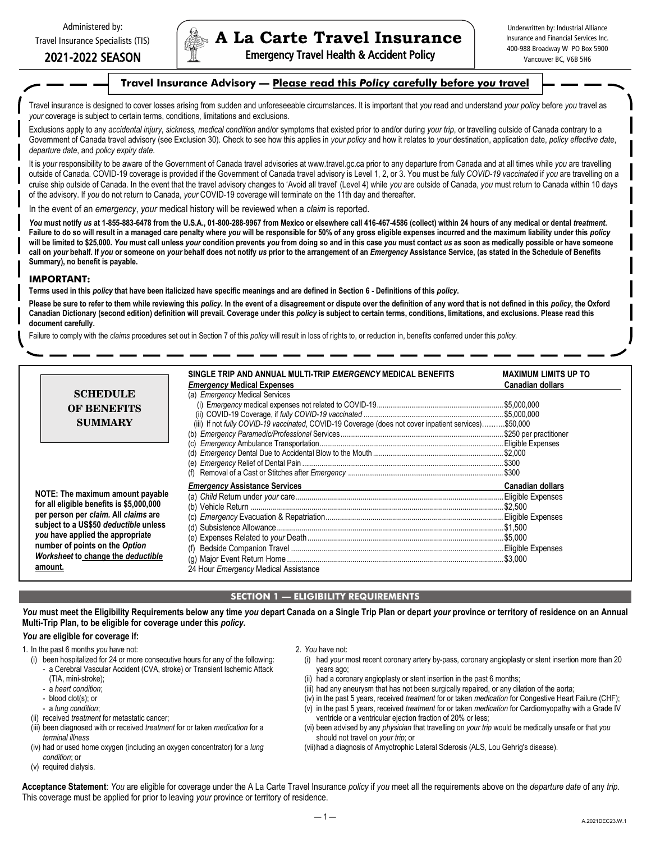# 2021-2022 SEASON

# **A La Carte Travel Insurance**

Emergency Travel Health & Accident Policy

Underwritten by: Industrial Alliance Insurance and Financial Services Inc. 400-988 Broadway W PO Box 5900 Vancouver BC, V6B 5H6

# **Travel Insurance Advisory — Please read this** *Policy* **carefully before** *you* **travel**

Travel insurance is designed to cover losses arising from sudden and unforeseeable circumstances. It is important that *you* read and understand *your policy* before *you* travel as *your* coverage is subject to certain terms, conditions, limitations and exclusions.

Exclusions apply to any *accidental injury, sickness, medical condition* and/or symptoms that existed prior to and/or during *your trip*, or travelling outside of Canada contrary to a Government of Canada travel advisory (see Exclusion 30). Check to see how this applies in *your policy* and how it relates to *your* destination, application date, *policy effective date*, *departure date*, and *policy expiry date*.

It is *your* responsibility to be aware of the Government of Canada travel advisories at www.travel.gc.ca prior to any departure from Canada and at all times while *you* are travelling outside of Canada. COVID-19 coverage is provided if the Government of Canada travel advisory is Level 1, 2, or 3. You must be *fully COVID-19 vaccinated* if *you* are travelling on a cruise ship outside of Canada. In the event that the travel advisory changes to 'Avoid all travel' (Level 4) while *you* are outside of Canada, *you* must return to Canada within 10 days of the advisory. If *you* do not return to Canada, *your* COVID-19 coverage will terminate on the 11th day and thereafter.

In the event of an *emergency*, *your* medical history will be reviewed when a *claim* is reported.

You must notify us at 1-855-883-6478 from the U.S.A., 01-800-288-9967 from Mexico or elsewhere call 416-467-4586 (collect) within 24 hours of any medical or dental treatment. **Failure to do so will result in a managed care penalty where** *you* **will be responsible for 50% of any gross eligible expenses incurred and the maximum liability under this** *policy*  will be limited to \$25,000. You must call unless your condition prevents you from doing so and in this case you must contact us as soon as medically possible or have someone call on your behalf. If you or someone on your behalf does not notify us prior to the arrangement of an Emergency Assistance Service, (as stated in the Schedule of Benefits **Summary), no benefit is payable.** 

#### **IMPORTANT:**

**Terms used in this** *policy* **that have been italicized have specific meanings and are defined in Section 6 - Definitions of this** *policy***.** 

**Please be sure to refer to them while reviewing this** *policy***. In the event of a disagreement or dispute over the definition of any word that is not defined in this** *policy***, the Oxford**  Canadian Dictionary (second edition) definition will prevail. Coverage under this policy is subject to certain terms, conditions, limitations, and exclusions. Please read this **document carefully.** 

Failure to comply with the *claims* procedures set out in Section 7 of this *policy* will result in loss of rights to, or reduction in, benefits conferred under this *policy*.

|                                                                                                                                                                                                                                                                                      | SINGLE TRIP AND ANNUAL MULTI-TRIP <i>EMERGENCY</i> MEDICAL BENEFITS<br><i><b>Emergency Medical Expenses</b></i>                                | <b>MAXIMUM LIMITS UP TO</b><br><b>Canadian dollars</b> |
|--------------------------------------------------------------------------------------------------------------------------------------------------------------------------------------------------------------------------------------------------------------------------------------|------------------------------------------------------------------------------------------------------------------------------------------------|--------------------------------------------------------|
| <b>SCHEDULE</b><br><b>OF BENEFITS</b><br><b>SUMMARY</b>                                                                                                                                                                                                                              | (a) <i>Emergency</i> Medical Services<br>(iii) If not fully COVID-19 vaccinated, COVID-19 Coverage (does not cover inpatient services)\$50,000 |                                                        |
| NOTE: The maximum amount payable<br>for all eligible benefits is \$5,000,000<br>per person per claim. All claims are<br>subject to a US\$50 deductible unless<br>you have applied the appropriate<br>number of points on the Option<br>Worksheet to change the deductible<br>amount. | <b>Emergency Assistance Services</b><br>24 Hour Emergency Medical Assistance                                                                   | <b>Canadian dollars</b>                                |

# **SECTION 1 — ELIGIBILITY REQUIREMENTS**

You must meet the Eligibility Requirements below any time you depart Canada on a Single Trip Plan or depart your province or territory of residence on an Annual **Multi-Trip Plan, to be eligible for coverage under this** *policy***.** 

### *You* **are eligible for coverage if:**

1. In the past 6 months *you* have not:

- (i) been hospitalized for 24 or more consecutive hours for any of the following:
	- a Cerebral Vascular Accident (CVA, stroke) or Transient Ischemic Attack (TIA, mini-stroke);
	- a *heart condition*;
	- blood clot(s); or
	- a *lung condition*;
- (ii) received *treatment* for metastatic cancer;
- (iii) been diagnosed with or received *treatment* for or taken *medication* for a *terminal illness*
- (iv) had or used home oxygen (including an oxygen concentrator) for a *lung condition*; or
- (v) required dialysis.
- 2. *You* have not:
	- (i) had *your* most recent coronary artery by-pass, coronary angioplasty or stent insertion more than 20 years ago;
	- (ii) had a coronary angioplasty or stent insertion in the past 6 months;
	- (iii) had any aneurysm that has not been surgically repaired, or any dilation of the aorta;
	- (iv) in the past 5 years, received *treatment* for or taken *medication* for Congestive Heart Failure (CHF);
	- (v) in the past 5 years, received *treatment* for or taken *medication* for Cardiomyopathy with a Grade IV ventricle or a ventricular ejection fraction of 20% or less;
	- (vi) been advised by any *physician* that travelling on *your trip* would be medically unsafe or that *you*  should not travel on *your trip*; or
	- (vii)had a diagnosis of Amyotrophic Lateral Sclerosis (ALS, Lou Gehrig's disease).

**Acceptance Statement**: *You* are eligible for coverage under the A La Carte Travel Insurance *policy* if *you* meet all the requirements above on the *departure date* of any *trip*. This coverage must be applied for prior to leaving *your* province or territory of residence.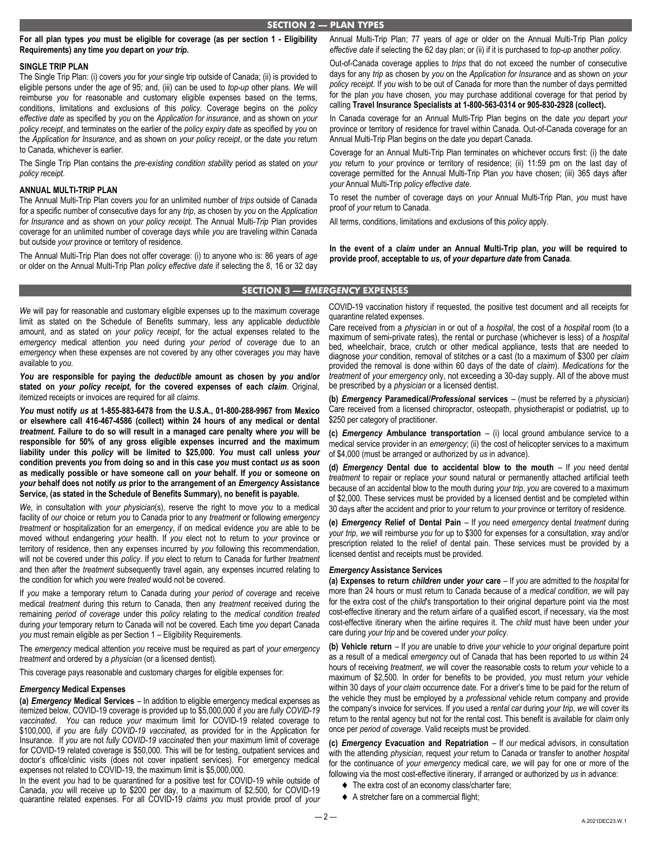**For all plan types** *you* **must be eligible for coverage (as per section 1 - Eligibility Requirements) any time** *you* **depart on** *your trip***.** 

## **SINGLE TRIP PLAN**

The Single Trip Plan: (i) covers *you* for *your* single trip outside of Canada; (ii) is provided to eligible persons under the *age* of 95; and, (iii) can be used to *top-up* other plans. *We* will reimburse *you* for reasonable and customary eligible expenses based on the terms, conditions, limitations and exclusions of this *policy*. Coverage begins on the *policy effective date* as specified by *you* on the *Application for insurance*, and as shown on *your policy receipt*, and terminates on the earlier of the *policy expiry date* as specified by *you* on the *Application for Insurance*, and as shown on *your policy receipt*, or the date *you* return to Canada, whichever is earlier.

The Single Trip Plan contains the *pre-existing condition stability* period as stated on *your policy receipt*.

#### **ANNUAL MULTI-TRIP PLAN**

The Annual Multi-Trip Plan covers *you* for an unlimited number of *trips* outside of Canada for a specific number of consecutive days for any *trip*, as chosen by *you* on the *Application for Insurance* and as shown on *your policy receipt*. The Annual Multi-*Trip* Plan provides coverage for an unlimited number of coverage days while *you* are traveling within Canada but outside *your* province or territory of residence.

The Annual Multi-Trip Plan does not offer coverage: (i) to anyone who is: 86 years of *age*  or older on the Annual Multi-Trip Plan *policy effective date* if selecting the 8, 16 or 32 day Annual Multi-Trip Plan; 77 years of *age* or older on the Annual Multi-Trip Plan *policy effective date* if selecting the 62 day plan; or (ii) if it is purchased to *top-up* another *policy*.

Out-of-Canada coverage applies to *trips* that do not exceed the number of consecutive days for any *trip* as chosen by *you* on the *Application for Insurance* and as shown on *your policy receipt*. If *you* wish to be out of Canada for more than the number of days permitted for the plan *you* have chosen, *you* may purchase additional coverage for that period by calling **Travel Insurance Specialists at 1-800-563-0314 or 905-830-2928 (collect).**

In Canada coverage for an Annual Multi-Trip Plan begins on the date *you* depart *your*  province or territory of residence for travel within Canada. Out-of-Canada coverage for an Annual Multi-Trip Plan begins on the date *you* depart Canada.

Coverage for an Annual Multi-Trip Plan terminates on whichever occurs first: (i) the date *you* return to *your* province or territory of residence; (ii) 11:59 pm on the last day of coverage permitted for the Annual Multi-Trip Plan *you* have chosen; (iii) 365 days after *your* Annual Multi-Trip *policy effective date*.

To reset the number of coverage days on *your* Annual Multi-Trip Plan, *you* must have proof of *your* return to Canada.

All terms, conditions, limitations and exclusions of this *policy* apply.

**In the event of a** *claim* **under an Annual Multi-Trip plan,** *you* **will be required to provide proof, acceptable to** *us***, of** *your departure date* **from Canada**.

## **SECTION 3 —** *EMERGENCY* **EXPENSES**

*We* will pay for reasonable and customary eligible expenses up to the maximum coverage limit as stated on the Schedule of Benefits summary, less any applicable *deductible*  amount, and as stated on *your policy receipt*, for the actual expenses related to the *emergency* medical attention *you* need during *your period of coverage* due to an *emergency* when these expenses are not covered by any other coverages *you* may have available to *you*.

*You* **are responsible for paying the** *deductible* **amount as chosen by** *you* **and/or stated on** *your policy receipt***, for the covered expenses of each** *claim*. Original, itemized receipts or invoices are required for all *claims*.

*You* **must notify** *us* **at 1-855-883-6478 from the U.S.A., 01-800-288-9967 from Mexico or elsewhere call 416-467-4586 (collect) within 24 hours of any medical or dental**  *treatment***. Failure to do so will result in a managed care penalty where** *you* **will be responsible for 50% of any gross eligible expenses incurred and the maximum liability under this** *policy* **will be limited to \$25,000.** *You* **must call unless** *your*  **condition prevents** *you* **from doing so and in this case** *you* **must contact** *us* **as soon as medically possible or have someone call on** *your* **behalf. If** *you* **or someone on**  *your* **behalf does not notify** *us* **prior to the arrangement of an** *Emergency* **Assistance Service, (as stated in the Schedule of Benefits Summary), no benefit is payable.** 

*We*, in consultation with *your physician*(s), reserve the right to move *you* to a medical facility of *our* choice or return *you* to Canada prior to any *treatment* or following *emergency treatment* or hospitalization for an *emergency*, if on medical evidence *you* are able to be moved without endangering *your* health. If *you* elect not to return to *your* province or territory of residence, then any expenses incurred by *you* following this recommendation, will not be covered under this *policy*. If *you* elect to return to Canada for further *treatment*  and then after the *treatment* subsequently travel again, any expenses incurred relating to the condition for which *you* were *treated* would not be covered.

If *you* make a temporary return to Canada during *your period of coverage* and receive medical *treatment* during this return to Canada, then any *treatment* received during the remaining *period of coverage* under this *policy* relating to the *medical condition treated*  during *your* temporary return to Canada will not be covered. Each time *you* depart Canada *you* must remain eligible as per Section 1 – Eligibility Requirements.

The *emergency* medical attention *you* receive must be required as part of *your emergency treatment* and ordered by a *physician* (or a licensed dentist).

This coverage pays reasonable and customary charges for eligible expenses for:

#### *Emergency* **Medical Expenses**

**(a)** *Emergency* **Medical Services** – In addition to eligible emergency medical expenses as itemized below, COVID-19 coverage is provided up to \$5,000,000 if *you* are *fully COVID-19 vaccinated*. *You* can reduce *your* maximum limit for COVID-19 related coverage to \$100,000, if *you* are *fully COVID-19 vaccinated*, as provided for in the Application for Insurance. If *you* are not *fully COVID-19 vaccinated* then *your* maximum limit of coverage for COVID-19 related coverage is \$50,000. This will be for testing, outpatient services and doctor's office/clinic visits (does not cover inpatient services). For emergency medical expenses not related to COVID-19, the maximum limit is \$5,000,000.

In the event *you* had to be quarantined for a positive test for COVID-19 while outside of Canada, *you* will receive up to \$200 per day, to a maximum of \$2,500, for COVID-19 quarantine related expenses. For all COVID-19 *claims you* must provide proof of *your* 

COVID-19 vaccination history if requested, the positive test document and all receipts for quarantine related expenses.

Care received from a *physician* in or out of a *hospital*, the cost of a *hospital* room (to a maximum of semi-private rates), the rental or purchase (whichever is less) of a *hospital*  bed, wheelchair, brace, crutch or other medical appliance, tests that are needed to diagnose *your* condition, removal of stitches or a cast (to a maximum of \$300 per *claim*  provided the removal is done within 60 days of the date of *claim*). *Medications* for the *treatment* of *your emergency* only, not exceeding a 30-day supply. All of the above must be prescribed by a *physician* or a licensed dentist.

**(b)** *Emergency* **Paramedical/***Professional* **services** – (must be referred by a *physician*) Care received from a licensed chiropractor, osteopath, physiotherapist or podiatrist, up to \$250 per category of practitioner.

**(c)** *Emergency* **Ambulance transportation** – (i) local ground ambulance service to a medical service provider in an *emergency*; (ii) the cost of helicopter services to a maximum of \$4,000 (must be arranged or authorized by *us* in advance).

**(d)** *Emergency* **Dental due to accidental blow to the mouth** – If *you* need dental *treatment* to repair or replace *your* sound natural or permanently attached artificial teeth because of an accidental blow to the mouth during *your trip*, *you* are covered to a maximum of \$2,000. These services must be provided by a licensed dentist and be completed within 30 days after the accident and prior to *your* return to *your* province or territory of residence.

**(e)** *Emergency* **Relief of Dental Pain** – If *you* need *emergency* dental *treatment* during *your trip*, *we* will reimburse *you* for up to \$300 for expenses for a consultation, xray and/or prescription related to the relief of dental pain. These services must be provided by a licensed dentist and receipts must be provided.

#### *Emergency* **Assistance Services**

**(a) Expenses to return** *children* **under** *your* **care** – If *you* are admitted to the *hospital* for more than 24 hours or must return to Canada because of a *medical condition*, *we* will pay for the extra cost of the *child*'s transportation to their original departure point via the most cost-effective itinerary and the return airfare of a qualified escort, if necessary, via the most cost-effective itinerary when the airline requires it. The *child* must have been under *your*  care during *your trip* and be covered under *your policy*.

**(b) Vehicle return** – If *you* are unable to drive *your* vehicle to *your* original departure point as a result of a medical *emergency* out of Canada that has been reported to *us* within 24 hours of receiving *treatment*, *we* will cover the reasonable costs to return *your* vehicle to a maximum of \$2,500. In order for benefits to be provided, *you* must return *your* vehicle within 30 days of *your claim* occurrence date. For a driver's time to be paid for the return of the vehicle they must be employed by a *professional* vehicle return company and provide the company's invoice for services. If *you* used a *rental car* during *your trip*, *we* will cover its return to the rental agency but not for the rental cost. This benefit is available for *claim* only once per *period of coverage*. Valid receipts must be provided.

**(c)** *Emergency* **Evacuation and Repatriation** – If *our* medical advisors, in consultation with the attending *physician*, request *your* return to Canada or transfer to another *hospital*  for the continuance of *your emergency* medical care, *we* will pay for one or more of the following via the most cost-effective itinerary, if arranged or authorized by *us* in advance:

- ◆ The extra cost of an economy class/charter fare;
- A stretcher fare on a commercial flight;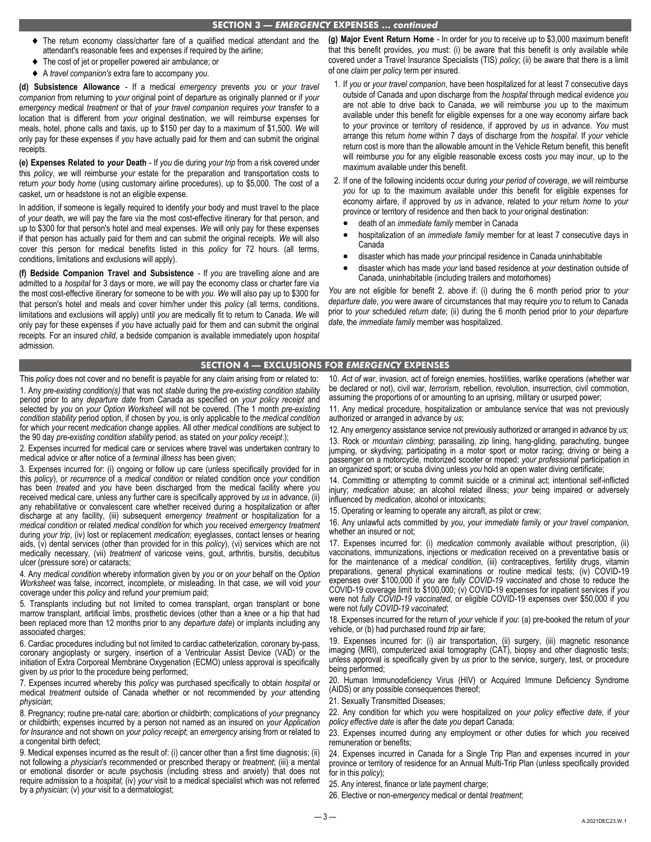#### **SECTION 3 —** *EMERGENCY* **EXPENSES …** *continued*

- The return economy class/charter fare of a qualified medical attendant and the attendant's reasonable fees and expenses if required by the airline;
- The cost of jet or propeller powered air ambulance; or
- A *travel companion's* extra fare to accompany *you*.

**(d) Subsistence Allowance** - If a medical *emergency* prevents *you* or *your travel companion* from returning to *your* original point of departure as originally planned or if *your emergency* medical *treatment* or that of *your travel companion* requires *your* transfer to a location that is different from *your* original destination, *we* will reimburse expenses for meals, hotel, phone calls and taxis, up to \$150 per day to a maximum of \$1,500. *We* will only pay for these expenses if *you* have actually paid for them and can submit the original **receints** 

**(e) Expenses Related to** *your* **Death** - If *you* die during *your trip* from a risk covered under this *policy*, *we* will reimburse *your* estate for the preparation and transportation costs to return *your* body *home* (using customary airline procedures), up to \$5,000. The cost of a casket, urn or headstone is not an eligible expense.

In addition, if someone is legally required to identify *your* body and must travel to the place of *your* death, *we* will pay the fare via the most cost-effective itinerary for that person, and up to \$300 for that person's hotel and meal expenses. *We* will only pay for these expenses if that person has actually paid for them and can submit the original receipts. *We* will also cover this person for medical benefits listed in this *policy* for 72 hours. (all terms, conditions, limitations and exclusions will apply).

**(f) Bedside Companion Travel and Subsistence** - If *you* are travelling alone and are admitted to a *hospital* for 3 days or more, *we* will pay the economy class or charter fare via the most cost-effective itinerary for someone to be with *you*. *We* will also pay up to \$300 for that person's hotel and meals and cover him/her under this *policy* (all terms, conditions, limitations and exclusions will apply) until *you* are medically fit to return to Canada. *We* will only pay for these expenses if *you* have actually paid for them and can submit the original receipts. For an insured *child*, a bedside companion is available immediately upon *hospital*  admission.

**(g) Major Event Return Home** - In order for *you* to receive up to \$3,000 maximum benefit that this benefit provides, *you* must: (i) be aware that this benefit is only available while covered under a Travel Insurance Specialists (TIS) *policy*; (ii) be aware that there is a limit of one *claim* per *policy* term per insured.

- 1. If *you* or *your travel companion*, have been hospitalized for at least 7 consecutive days outside of Canada and upon discharge from the *hospital* through medical evidence *you*  are not able to drive back to Canada, *we* will reimburse *you* up to the maximum available under this benefit for eligible expenses for a one way economy airfare back to *your* province or territory of residence, if approved by *us* in advance. *You* must arrange this return *home* within 7 days of discharge from the *hospital*. If *your* vehicle return cost is more than the allowable amount in the Vehicle Return benefit, this benefit will reimburse *you* for any eligible reasonable excess costs *you* may incur, up to the maximum available under this benefit.
- 2. If one of the following incidents occur during *your period of coverage*, *we* will reimburse *you* for up to the maximum available under this benefit for eligible expenses for economy airfare, if approved by *us* in advance, related to *your* return *home* to *your*  province or territory of residence and then back to *your* original destination:
	- death of an *immediate family* member in Canada
	- hospitalization of an *immediate family* member for at least 7 consecutive days in Canada
	- disaster which has made *your* principal residence in Canada uninhabitable
	- disaster which has made *your* land based residence at *your* destination outside of Canada, uninhabitable (including trailers and motorhomes)

*You* are not eligible for benefit 2. above if: (i) during the 6 month period prior to *your departure date*, *you* were aware of circumstances that may require *you* to return to Canada prior to *your* scheduled *return date*; (ii) during the 6 month period prior to *your departure date*, the *immediate family* member was hospitalized.

## **SECTION 4 — EXCLUSIONS FOR** *EMERGENCY* **EXPENSES**

This *policy* does not cover and no benefit is payable for any *claim* arising from or related to:

1. Any *pre-existing condition(s)* that was not *stable* during the *pre-existing condition stability*  period prior to any *departure date* from Canada as specified on *your policy receipt* and selected by *you* on *your Option Worksheet* will not be covered. (The 1 month *pre-existing condition stability* period option, if chosen by *you*, is only applicable to the *medical condition*  for which *your* recent *medication* change applies. All other *medical condition*s are subject to the 90 day *pre-existing condition stability* period, as stated on *your policy receipt*.);

2. Expenses incurred for medical care or services where travel was undertaken contrary to medical advice or after notice of a *terminal illness* has been given;

3. Expenses incurred for: (i) ongoing or follow up care (unless specifically provided for in this *policy*), or *recurrence* of a *medical condition* or related condition once *your* condition has been *treated* and *you* have been discharged from the medical facility where *you*  received medical care, unless any further care is specifically approved by *us* in advance, (ii) any rehabilitative or convalescent care whether received during a hospitalization or after discharge at any facility, (iii) subsequent *emergency treatment* or hospitalization for a *medical condition* or related *medical condition* for which *you* received *emergency treatment*  during *your trip*, (iv) lost or replacement *medication*; eyeglasses, contact lenses or hearing aids, (v) dental services (other than provided for in this *policy*), (vi) services which are not medically necessary, (vii) *treatment* of varicose veins, gout, arthritis, bursitis, decubitus ulcer (pressure sore) or cataracts;

4. Any *medical condition* whereby information given by *you* or on *your* behalf on the *Option Worksheet* was false, incorrect, incomplete, or misleading. In that case, *we* will void *your*  coverage under this *policy* and refund *your* premium paid;

5. Transplants including but not limited to cornea transplant, organ transplant or bone marrow transplant, artificial limbs, prosthetic devices (other than a knee or a hip that had been replaced more than 12 months prior to any *departure date*) or implants including any associated charges;

6. Cardiac procedures including but not limited to cardiac catheterization, coronary by-pass, coronary angioplasty or surgery, insertion of a Ventricular Assist Device (VAD) or the initiation of Extra Corporeal Membrane Oxygenation (ECMO) unless approval is specifically given by *us* prior to the procedure being performed;

7. Expenses incurred whereby this *policy* was purchased specifically to obtain *hospital* or medical *treatment* outside of Canada whether or not recommended by *your* attending *physician*;

8. Pregnancy; routine pre-natal care; abortion or childbirth; complications of *your* pregnancy or childbirth; expenses incurred by a person not named as an insured on *your Application for Insurance* and not shown on *your policy receipt*; an *emergency* arising from or related to a congenital birth defect;

9. Medical expenses incurred as the result of: (i) cancer other than a first time diagnosis; (ii) not following a *physician*'s recommended or prescribed therapy or *treatment*; (iii) a mental or emotional disorder or acute psychosis (including stress and anxiety) that does not require admission to a *hospital*; (iv) *your* visit to a medical specialist which was not referred by a *physician*; (v) *your* visit to a dermatologist;

10. *Act of war*, invasion, act of foreign enemies, hostilities, warlike operations (whether war be declared or not), civil war, *terrorism*, rebellion, revolution, insurrection, civil commotion, assuming the proportions of or amounting to an uprising, military or usurped power;

11. Any medical procedure, hospitalization or ambulance service that was not previously authorized or arranged in advance by *us*;

12. Any *emergency* assistance service not previously authorized or arranged in advance by *us*;

13. Rock or *mountain climbing*; parasailing, zip lining, hang-gliding, parachuting, bungee jumping, or skydiving; participating in a motor sport or motor racing; driving or being a passenger on a motorcycle, motorized scooter or moped; *your professional* participation in an organized sport; or scuba diving unless *you* hold an open water diving certificate;

14. Committing or attempting to commit suicide or a criminal act; intentional self-inflicted injury; *medication* abuse; an alcohol related illness; *your* being impaired or adversely influenced by *medication*, alcohol or intoxicants;

15. Operating or learning to operate any aircraft, as pilot or crew;

16. Any unlawful acts committed by *you*, *your immediate family* or *your travel companion*, whether an insured or not;

17. Expenses incurred for: (i) *medication* commonly available without prescription, (ii) vaccinations, immunizations, injections or *medication* received on a preventative basis or for the maintenance of a *medical condition*, (iii) contraceptives, fertility drugs, vitamin preparations, general physical examinations or routine medical tests; (iv) COVID-19 expenses over \$100,000 if *you* are *fully COVID-19 vaccinated* and chose to reduce the COVID-19 coverage limit to \$100,000; (v) COVID-19 expenses for inpatient services if *you*  were not *fully COVID-19 vaccinated*, or eligible COVID-19 expenses over \$50,000 if *you*  were not *fully COVID-19 vaccinated*;

18. Expenses incurred for the return of *your* vehicle if *you*: (a) pre-booked the return of *your*  vehicle, or (b) had purchased round *trip* air fare;

19. Expenses incurred for: (i) air transportation, (ii) surgery, (iii) magnetic resonance imaging (MRI), computerized axial tomography (CAT), biopsy and other diagnostic tests; unless approval is specifically given by *us* prior to the service, surgery, test, or procedure being performed;

20. Human Immunodeficiency Virus (HIV) or Acquired Immune Deficiency Syndrome (AIDS) or any possible consequences thereof;

21. Sexually Transmitted Diseases;

22. Any condition for which *you* were hospitalized on *your policy effective date*, if *your policy effective date* is after the date *you* depart Canada;

23. Expenses incurred during any employment or other duties for which *you* received remuneration or benefits;

24. Expenses incurred in Canada for a Single Trip Plan and expenses incurred in *your*  province or territory of residence for an Annual Multi-Trip Plan (unless specifically provided for in this *policy*);

25. Any interest, finance or late payment charge;

26. Elective or non-*emergency* medical or dental *treatment*;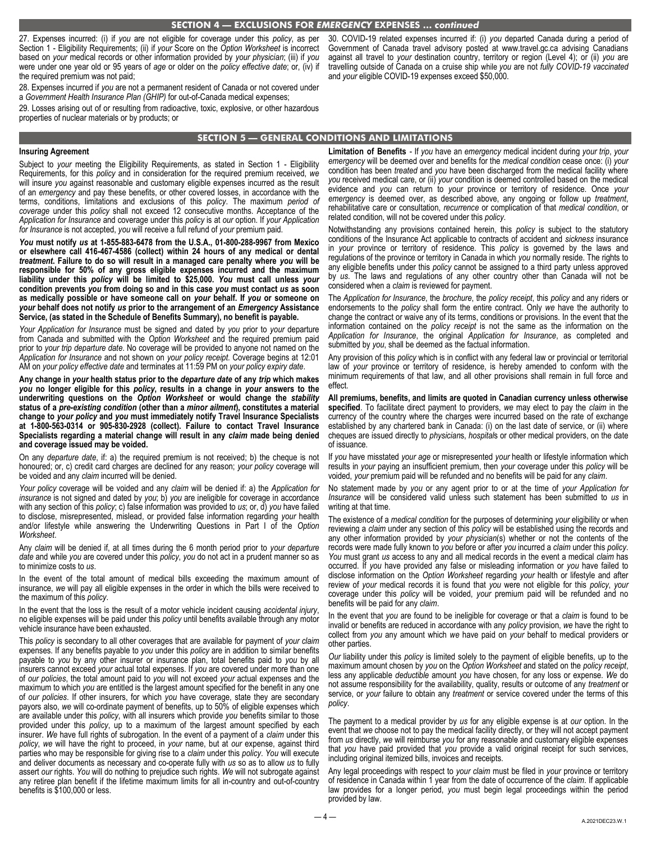27. Expenses incurred: (i) if *you* are not eligible for coverage under this *policy*, as per Section 1 - Eligibility Requirements; (ii) if *your* Score on the *Option Worksheet* is incorrect based on *your* medical records or other information provided by *your physician*; (iii) if *you*  were under one year old or 95 years of *age* or older on the *policy effective date*; or, (iv) if the required premium was not paid;

28. Expenses incurred if *you* are not a permanent resident of Canada or not covered under a *Government Health Insurance Plan (GHIP)* for out-of-Canada medical expenses;

29. Losses arising out of or resulting from radioactive, toxic, explosive, or other hazardous properties of nuclear materials or by products; or

30. COVID-19 related expenses incurred if: (i) *you* departed Canada during a period of Government of Canada travel advisory posted at www.travel.gc.ca advising Canadians against all travel to *your* destination country, territory or region (Level 4); or (ii) *you* are travelling outside of Canada on a cruise ship while *you* are not *fully COVID-19 vaccinated*  and *your* eligible COVID-19 expenses exceed \$50,000.

#### **SECTION 5 — GENERAL CONDITIONS AND LIMITATIONS**

#### **Insuring Agreement**

Subject to *your* meeting the Eligibility Requirements, as stated in Section 1 - Eligibility Requirements, for this *policy* and in consideration for the required premium received, *we*  will insure *you* against reasonable and customary eligible expenses incurred as the result of an *emergency* and pay these benefits, or other covered losses, in accordance with the terms, conditions, limitations and exclusions of this *policy*. The maximum *period of coverage* under this *policy* shall not exceed 12 consecutive months. Acceptance of the *Application for Insurance* and coverage under this *policy* is at *our* option. If *your Application for Insurance* is not accepted, *you* will receive a full refund of *your* premium paid.

*You* **must notify** *us* **at 1-855-883-6478 from the U.S.A., 01-800-288-9967 from Mexico or elsewhere call 416-467-4586 (collect) within 24 hours of any medical or dental**  *treatment***. Failure to do so will result in a managed care penalty where** *you* **will be responsible for 50% of any gross eligible expenses incurred and the maximum liability under this** *policy* **will be limited to \$25,000.** *You* **must call unless** *your*  **condition prevents** *you* **from doing so and in this case** *you* **must contact** *us* **as soon as medically possible or have someone call on** *your* **behalf. If** *you* **or someone on**  *your* **behalf does not notify** *us* **prior to the arrangement of an** *Emergency* **Assistance Service, (as stated in the Schedule of Benefits Summary), no benefit is payable.** 

*Your Application for Insurance* must be signed and dated by *you* prior to *your* departure from Canada and submitted with the *Option Worksheet* and the required premium paid prior to *your trip departure date*. No coverage will be provided to anyone not named on the *Application for Insurance* and not shown on *your policy receipt*. Coverage begins at 12:01 AM on *your policy effective date* and terminates at 11:59 PM on *your policy expiry date*.

**Any change in** *your* **health status prior to the** *departure date* **of any** *trip* **which makes**  *you* **no longer eligible for this** *policy***, results in a change in** *your* **answers to the underwriting questions on the** *Option Worksheet* **or would change the** *stability*  **status of a** *pre-existing condition* **(other than a** *minor ailment***), constitutes a material change to** *your policy* **and** *you* **must immediately notify Travel Insurance Specialists at 1-800-563-0314 or 905-830-2928 (collect). Failure to contact Travel Insurance Specialists regarding a material change will result in any** *claim* **made being denied and coverage issued may be voided.** 

On any *departure date*, if: a) the required premium is not received; b) the cheque is not honoured; or, c) credit card charges are declined for any reason; *your policy* coverage will be voided and any *claim* incurred will be denied.

*Your policy* coverage will be voided and any *claim* will be denied if: a) the *Application for insurance* is not signed and dated by *you*; b) *you* are ineligible for coverage in accordance with any section of this *policy*; c) false information was provided to *us*; or, d) *you* have failed to disclose, misrepresented, mislead, or provided false information regarding *your* health and/or lifestyle while answering the Underwriting Questions in Part I of the *Option Worksheet*.

Any *claim* will be denied if, at all times during the 6 month period prior to *your departure date* and while *you* are covered under this *policy*, *you* do not act in a prudent manner so as to minimize costs to *us*.

In the event of the total amount of medical bills exceeding the maximum amount of insurance, *we* will pay all eligible expenses in the order in which the bills were received to the maximum of this *policy*.

In the event that the loss is the result of a motor vehicle incident causing *accidental injury*, no eligible expenses will be paid under this *policy* until benefits available through any motor vehicle insurance have been exhausted.

This *policy* is secondary to all other coverages that are available for payment of *your claim*  expenses. If any benefits payable to *you* under this *policy* are in addition to similar benefits payable to *you* by any other insurer or insurance plan, total benefits paid to *you* by all insurers cannot exceed *your* actual total expenses. If *you* are covered under more than one of *our policies*, the total amount paid to *you* will not exceed *your* actual expenses and the maximum to which *you* are entitled is the largest amount specified for the benefit in any one of *our policies*. If other insurers, for which *you* have coverage, state they are secondary payors also, *we* will co-ordinate payment of benefits, up to 50% of eligible expenses which are available under this *policy*, with all insurers which provide *you* benefits similar to those provided under this *policy*, up to a maximum of the largest amount specified by each insurer. *We* have full rights of subrogation. In the event of a payment of a *claim* under this *policy*, *we* will have the right to proceed, in *your* name, but at *our* expense, against third parties who may be responsible for giving rise to a *claim* under this *policy*. *You* will execute and deliver documents as necessary and co-operate fully with *us* so as to allow *us* to fully assert *our* rights. *You* will do nothing to prejudice such rights. *We* will not subrogate against any retiree plan benefit if the lifetime maximum limits for all in-country and out-of-country benefits is \$100,000 or less.

**Limitation of Benefits** - If *you* have an *emergency* medical incident during *your trip*, *your emergency* will be deemed over and benefits for the *medical condition* cease once: (i) *your*  condition has been *treated* and *you* have been discharged from the medical facility where *you* received medical care, or (ii) *your* condition is deemed controlled based on the medical evidence and *you* can return to *your* province or territory of residence. Once *your emergency* is deemed over, as described above, any ongoing or follow up *treatment*, rehabilitative care or consultation, *recurrence* or complication of that *medical condition*, or related condition, will not be covered under this *policy*.

Notwithstanding any provisions contained herein, this *policy* is subject to the statutory conditions of the Insurance Act applicable to contracts of accident and *sickness* insurance in *your* province or territory of residence. This *policy* is governed by the laws and regulations of the province or territory in Canada in which *you* normally reside. The rights to any eligible benefits under this *policy* cannot be assigned to a third party unless approved by *us*. The laws and regulations of any other country other than Canada will not be considered when a *claim* is reviewed for payment.

The *Application for Insurance*, the *brochure*, the *policy receipt*, this *policy* and any riders or endorsements to the *policy* shall form the entire contract. Only *we* have the authority to change the contract or waive any of its terms, conditions or provisions. In the event that the information contained on the *policy receipt* is not the same as the information on the *Application for Insurance*, the original *Application for Insurance*, as completed and submitted by *you*, shall be deemed as the factual information.

Any provision of this *policy* which is in conflict with any federal law or provincial or territorial law of *your* province or territory of residence, is hereby amended to conform with the minimum requirements of that law, and all other provisions shall remain in full force and effect.

**All premiums, benefits, and limits are quoted in Canadian currency unless otherwise specified**. To facilitate direct payment to providers, *we* may elect to pay the *claim* in the currency of the country where the charges were incurred based on the rate of exchange established by any chartered bank in Canada: (i) on the last date of service, or (ii) where cheques are issued directly to *physician*s, *hospital*s or other medical providers, on the date of issuance.

If *you* have misstated *your age* or misrepresented *your* health or lifestyle information which results in *your* paying an insufficient premium, then *your* coverage under this *policy* will be voided, *your* premium paid will be refunded and no benefits will be paid for any *claim*.

No statement made by *you* or any agent prior to or at the time of *your Application for Insurance* will be considered valid unless such statement has been submitted to *us* in writing at that time.

The existence of a *medical condition* for the purposes of determining *your* eligibility or when reviewing a *claim* under any section of this *policy* will be established using the records and any other information provided by *your physician*(s) whether or not the contents of the records were made fully known to *you* before or after *you* incurred a *claim* under this *policy*. *You* must grant *us* access to any and all medical records in the event a medical *claim* has occurred. If *you* have provided any false or misleading information or *you* have failed to disclose information on the *Option Worksheet* regarding *your* health or lifestyle and after review of *your* medical records it is found that *you* were not eligible for this *policy*, *your*  coverage under this *policy* will be voided, *your* premium paid will be refunded and no benefits will be paid for any *claim*.

In the event that *you* are found to be ineligible for coverage or that a *claim* is found to be invalid or benefits are reduced in accordance with any *policy* provision, *we* have the right to collect from *you* any amount which *we* have paid on *your* behalf to medical providers or other parties.

*Our* liability under this *policy* is limited solely to the payment of eligible benefits, up to the maximum amount chosen by *you* on the *Option Worksheet* and stated on the *policy receipt*, less any applicable *deductible* amount *you* have chosen, for any loss or expense. *We* do not assume responsibility for the availability, quality, results or outcome of any *treatment* or service, or *your* failure to obtain any *treatment* or service covered under the terms of this *policy*.

The payment to a medical provider by *us* for any eligible expense is at *our* option. In the event that *we* choose not to pay the medical facility directly, or they will not accept payment from *us* directly, *we* will reimburse *you* for any reasonable and customary eligible expenses that *you* have paid provided that *you* provide a valid original receipt for such services, including original itemized bills, invoices and receipts.

Any legal proceedings with respect to *your claim* must be filed in *your* province or territory of residence in Canada within 1 year from the date of occurrence of the *claim*. If applicable law provides for a longer period, *you* must begin legal proceedings within the period provided by law.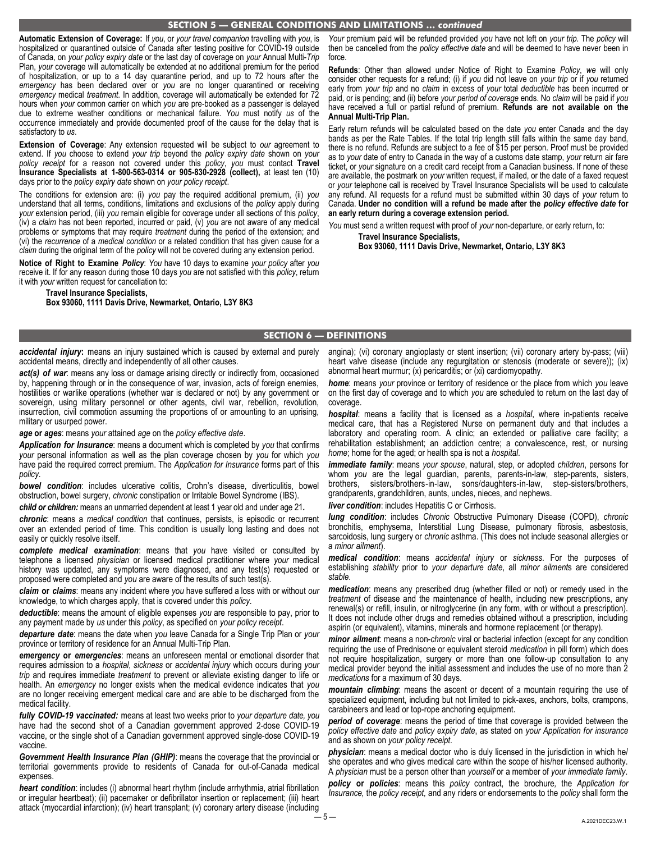#### **SECTION 5 — GENERAL CONDITIONS AND LIMITATIONS …** *continued*

**Automatic Extension of Coverage:** If *you*, or *your travel companion* travelling with *you*, is hospitalized or quarantined outside of Canada after testing positive for COVID-19 outside of Canada, on *your policy expiry date* or the last day of coverage on *your* Annual Multi-*Trip*  Plan, *your* coverage will automatically be extended at no additional premium for the period of hospitalization, or up to a 14 day quarantine period, and up to 72 hours after the *emergency* has been declared over or *you* are no longer quarantined or receiving *emergency* medical *treatment*. In addition, coverage will automatically be extended for 72 hours when *your* common carrier on which *you* are pre-booked as a passenger is delayed due to extreme weather conditions or mechanical failure. *You* must notify *us* of the occurrence immediately and provide documented proof of the cause for the delay that is satisfactory to *us*.

**Extension of Coverage**: Any extension requested will be subject to *our* agreement to extend. If *you* choose to extend *your trip* beyond the *policy expiry date* shown on *your policy receipt* for a reason not covered under this *policy*, *you* must contact **Travel Insurance Specialists at 1-800-563-0314 or 905-830-2928 (collect),** at least ten (10) days prior to the *policy expiry date* shown on *your policy receipt*.

The conditions for extension are: (i) *you* pay the required additional premium, (ii) *you*  understand that all terms, conditions, limitations and exclusions of the *policy* apply during *your* extension period, (iii) *you* remain eligible for coverage under all sections of this *policy*, (iv) a *claim* has not been reported, incurred or paid, (v) *you* are not aware of any medical problems or symptoms that may require *treatment* during the period of the extension; and (vi) the *recurrence* of a *medical condition* or a related condition that has given cause for a *claim* during the original term of the *policy* will not be covered during any extension period.

**Notice of Right to Examine** *Policy*: *You* have 10 days to examine *your policy* after *you*  receive it. If for any reason during those 10 days *you* are not satisfied with this *policy*, return it with *your* written request for cancellation to:

**Travel Insurance Specialists, Box 93060, 1111 Davis Drive, Newmarket, Ontario, L3Y 8K3**  *Your* premium paid will be refunded provided *you* have not left on *your trip*. The *policy* will then be cancelled from the *policy effective date* and will be deemed to have never been in force.

**Refunds**: Other than allowed under Notice of Right to Examine *Policy*, *we* will only consider other requests for a refund; (i) if *you* did not leave on *your trip* or if *you* returned early from *your trip* and no *claim* in excess of *your* total *deductible* has been incurred or paid, or is pending; and (ii) before *your period of coverage* ends. No *claim* will be paid if *you*  have received a full or partial refund of premium. **Refunds are not available on the Annual Multi-Trip Plan.** 

Early return refunds will be calculated based on the date *you* enter Canada and the day bands as per the Rate Tables. If the total trip length still falls within the same day band, there is no refund. Refunds are subject to a fee of \$15 per person. Proof must be provided as to *your* date of entry to Canada in the way of a customs date stamp, *your* return air fare ticket, or *your* signature on a credit card receipt from a Canadian business. If none of these are available, the postmark on *your* written request, if mailed, or the date of a faxed request or *your* telephone call is received by Travel Insurance Specialists will be used to calculate any refund. All requests for a refund must be submitted within 30 days of *your* return to Canada. **Under no condition will a refund be made after the** *policy effective date* **for an early return during a coverage extension period.** 

*You* must send a written request with proof of *your* non-departure, or early return, to: **Travel Insurance Specialists,** 

**Box 93060, 1111 Davis Drive, Newmarket, Ontario, L3Y 8K3** 

# **SECTION 6 — DEFINITIONS**

accidental injury: means an injury sustained which is caused by external and purely accidental means, directly and independently of all other causes.

act(s) of war: means any loss or damage arising directly or indirectly from, occasioned by, happening through or in the consequence of war, invasion, acts of foreign enemies, hostilities or warlike operations (whether war is declared or not) by any government or sovereign, using military personnel or other agents, civil war, rebellion, revolution, insurrection, civil commotion assuming the proportions of or amounting to an uprising, military or usurped power.

*age* **or** *ages*: means *your* attained *age* on the *policy effective date*.

*Application for Insurance*: means a document which is completed by *you* that confirms *your* personal information as well as the plan coverage chosen by *you* for which *you*  have paid the required correct premium. The *Application for Insurance* forms part of this *policy*.

*bowel condition*: includes ulcerative colitis, Crohn's disease, diverticulitis, bowel obstruction, bowel surgery, *chronic* constipation or Irritable Bowel Syndrome (IBS).

*child or children:* means an unmarried dependent at least 1 year old and under age 21*.* 

*chronic*: means a *medical condition* that continues, persists, is episodic or recurrent over an extended period of time. This condition is usually long lasting and does not easily or quickly resolve itself.

*complete medical examination*: means that *you* have visited or consulted by telephone a licensed *physician* or licensed medical practitioner where *your* medical history was updated, any symptoms were diagnosed, and any test(s) requested or proposed were completed and *you* are aware of the results of such test(s).

*claim* **or** *claims*: means any incident where *you* have suffered a loss with or without *our*  knowledge, to which charges apply, that is covered under this *policy*.

*deductible*: means the amount of eligible expenses *you* are responsible to pay, prior to any payment made by *us* under this *policy*, as specified on *your policy receipt*.

*departure date*: means the date when *you* leave Canada for a Single Trip Plan or *your*  province or territory of residence for an Annual Multi-Trip Plan.

*emergency* **or** *emergencies*: means an unforeseen mental or emotional disorder that requires admission to a *hospital*, *sickness* or *accidental injury* which occurs during *your trip* and requires immediate *treatment* to prevent or alleviate existing danger to life or health. An *emergency* no longer exists when the medical evidence indicates that *you*  are no longer receiving emergent medical care and are able to be discharged from the medical facility.

*fully COVID-19 vaccinated:* means at least two weeks prior to *your departure date, you*  have had the second shot of a Canadian government approved 2-dose COVID-19 vaccine, or the single shot of a Canadian government approved single-dose COVID-19 vaccine.

*Government Health Insurance Plan (GHIP)*: means the coverage that the provincial or territorial governments provide to residents of Canada for out-of-Canada medical expenses.

*heart condition*: includes (i) abnormal heart rhythm (include arrhythmia, atrial fibrillation or irregular heartbeat); (ii) pacemaker or defibrillator insertion or replacement; (iii) heart attack (myocardial infarction); (iv) heart transplant; (v) coronary artery disease (including

angina); (vi) coronary angioplasty or stent insertion; (vii) coronary artery by-pass; (viii) heart valve disease (include any regurgitation or stenosis (moderate or severe)); (ix) abnormal heart murmur; (x) pericarditis; or (xi) cardiomyopathy.

*home*: means *your* province or territory of residence or the place from which *you* leave on the first day of coverage and to which *you* are scheduled to return on the last day of coverage.

*hospital*: means a facility that is licensed as a *hospital*, where in-patients receive medical care, that has a Registered Nurse on permanent duty and that includes a laboratory and operating room. A clinic; an extended or palliative care facility; a rehabilitation establishment; an addiction centre; a convalescence, rest, or nursing *home*; home for the aged; or health spa is not a *hospital*.

*immediate family*: means *your spouse*, natural, step, or adopted *children*, persons for whom *you* are the legal guardian, parents, parents-in-law, step-parents, sisters, brothers, sisters/brothers-in-law, sons/daughters-in-law, step-sisters/brothers, grandparents, grandchildren, aunts, uncles, nieces, and nephews.

*liver condition*: includes Hepatitis C or Cirrhosis.

*lung condition*: includes *Chronic* Obstructive Pulmonary Disease (COPD), *chronic*  bronchitis, emphysema, Interstitial Lung Disease, pulmonary fibrosis, asbestosis, sarcoidosis, lung surgery or *chronic* asthma. (This does not include seasonal allergies or a *minor ailment*).

*medical condition*: means *accidental injury* or *sickness*. For the purposes of establishing *stability* prior to *your departure date*, all *minor ailment*s are considered *stable*.

*medication*: means any prescribed drug (whether filled or not) or remedy used in the *treatment* of disease and the maintenance of health, including new prescriptions, any renewal(s) or refill, insulin, or nitroglycerine (in any form, with or without a prescription). It does not include other drugs and remedies obtained without a prescription, including aspirin (or equivalent), vitamins, minerals and hormone replacement (or therapy).

*minor ailment*: means a non-*chronic* viral or bacterial infection (except for any condition requiring the use of Prednisone or equivalent steroid *medication* in pill form) which does not require hospitalization, surgery or more than one follow-up consultation to any medical provider beyond the initial assessment and includes the use of no more than 2 *medications* for a maximum of 30 days.

*mountain climbing*: means the ascent or decent of a mountain requiring the use of specialized equipment, including but not limited to pick-axes, anchors, bolts, crampons, carabineers and lead or top-rope anchoring equipment.

*period of coverage*: means the period of time that coverage is provided between the *policy effective date* and *policy expiry date*, as stated on *your Application for insurance*  and as shown on *your policy receipt*.

*physician*: means a medical doctor who is duly licensed in the jurisdiction in which he/ she operates and who gives medical care within the scope of his/her licensed authority. A *physician* must be a person other than *yourself* or a member of *your immediate family*.

*policy* **or** *policies*: means this *policy* contract, the brochure*,* the *Application for Insurance,* the *policy receipt,* and any riders or endorsements to the *policy* shall form the